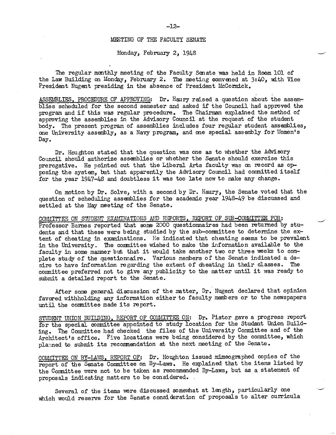## MEETING OF THE FACULTY SENATE

Monday, February 2, 1948

The regular monthly meeting of the Faculty Sonate was held in Room 101 of the Law Building on Monday, February 2. The meeting convened at 3:40, with Vice President Nugent presiding in the absence of President McCormick.

ASSEMBLIES, PROCEDURE OF APPROVING: Dr. Haury raised a question about the assemblies scheduled for the second semester and asked if the Council had approved the program and if this was regular procedure. The Chairman expla body. The present program of assemblies includes four regular student assemblies, one University assembly, as a Navy program, and one special assembly for Women's Day.

Dr. Houghton stated that the question was one as to whether the Advisory Council should authorize assemblies or whether the Senate should exercise this prerogative. He pointed out that the Liberal Arts faculty was on recor posing the system, but that apparently the Advisory Council had committed itself for the year 1947-48 and doubtless it. was too late now to make any change.

On motion by Dr. Solve, with a second by Dr. Haury, the Senate voted that the question of scheduling assemblies for the academic year 1948-49 be discussed and settled at the May meeting of the Senate.

COMMITTEE ON STUDENT EXAMINATIONS AND REPORTS, REPORT OF SUB-COMMITTEE FOR: Professor Barnes reported that some 2000 questionnaires had been returned by stu-<br>dents and that these were being studied by the sub-committee to determine the ex-<br>tent of cheating in examinations. He indicated that cheati in the University. The committee wished to make the information available to the faculty in some manner but that it would take another two or three weeks to complete study of the questionnaire. Various members of the Senate indicated a desire to have information regarding the extent of cheating in their classes. The conmittee preferred not to give any publicity to the matter until it was ready to submit a detailed report to the Senate.

After some general discussion of the matter, Dr. Nugent declared that opinion favored withholding any information either to faculty members or to the newspapers until the committee made its report.

STUDENT UNION BUILDING, REPORT OF COMMITTEE ON: Dr. Pistor gave a progress report for the special committee appointed to study location for the Student Union Building. The Committee had checked the files of the University Committee and of the Architect's office. Five locations were being considered by the committee, which planned to submit its recommendation at the next meeting of t

COMMITTEE ON BY-LAWS, REPORT OF: Dr. Houghton issued mimeographed copies of the report of the Senate Committee on By-Laws. He explained that the items listed by the Committee were not to be taken as recommended By-Laws, but as a statement of proposals indicating matters to be considered.

Several of the items were discussed somewhat at length, particularly one which would reserve for the Senate consideration of proposals to alter curricula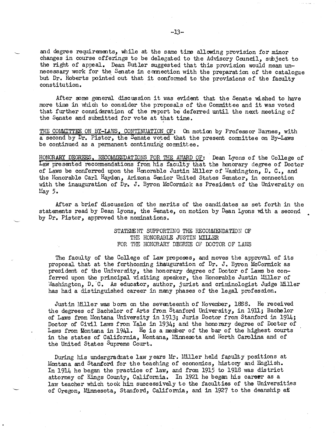and degree requirements, while at the same time allowing provision for minor changes in course offerings to be delegated to the Advisory Council, subject to the right of appeal. Dean Butler suggested that this provision would mean un-<br>necessary work for the Senate in connection with the preparation of the catalogue<br>but Dr. Roberts pointed out that it conformed to the provision constitution.

After some general discussion it was evident that the Senate wished to have more time in which to consider the proposals of the Committee and it was voted that further consideration of the report be deferred until the next meeting of the Sonate and submitted for vote at that time.

THE COMMITTEE ON BY-LAWS, CONTINUATION OF: On motion by Professor Barnes, with a second by Dr. Pistor, the Senate voted that the present committee on By-Laws be continued as a permanent continuing committee.

HONORARY DEGREES, RECOMMENDATIONS FOR THE AWARD OF: Dean Lyons of the College of Law presented recommendations from his faculty that the honorary degree of Doctor of Laws be conferred upon the Honorable Justin Miller of Wa with the inauguration of Dr. J. Byron McCormick as President of the University on  $May 5.$ 

After a brief discussion of the merits of the candidates as set forth in the statements read by Dean Lyons, the Senate, on motion by Dean Lyons with a second by  $Dr$ . Pistor, approved the nominations.

## STATEMENT SUPPORTING THE RECOMMENDATION OF THE HONORABLE JUSTIN MIlLER FOR THE HONORARY DEGREE OF DOCTOR OF LAWS

The faculty of the College of Law proposes, and moves the approval of its<br>proposal that at the forthcoming inauguration of Dr. J. Byron McCormick as<br>president of the University, the honorary degree of Doctor of Laws be con

Justin Miller was born on the seventeenth of November, 1888. He received the degrees of Bachelor of Arts from Stanford University, in 1911; Bachelor<br>of Laws from Montana University in 1913; Juris Doctor from Stanford in 1914;<br>Doctor of Civil Laws from Yale in 1934; and the honorary degree of Do Laws from Montana in 1941. He is a member of the bar of the highest courts in the states of California, Montana, Minnesota and North Carolina and of the United States Supreme Court.

During his undergraduate law years Mr. Miller held faculty positions at Montana and Stanford for the teaching of economics, history and English. In 1914 he began the practice of law, and from 1915 to 1918 was district atto law tachor which took him successively to the faculties of the Universities of Oregon, Minnesota, Stanford, California, and in 1927 to the deanship at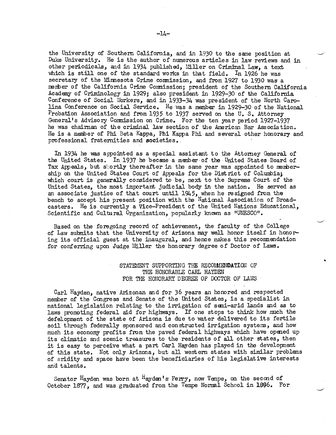the University of Southern California, and in 1930 to the same position at Duke University. He is the author of numerous articles in law reviews and in other periodicals, and in 1934 published, Miller on Criminal Law, a text<br>which is still one of the standard works in that field. In 1926 he was<br>secretary of the Minnesota Crime commission, and from 1927 to 1930 was a member of the California Crime Commission; president of the Southern California<br>Academy of Criminology in 1929; also president in 1929-30 of the California<br>Conference of Social Workers, and in 1933-34 was president of the lina Conference on Social Service. He was a member in 1929-30 of the National  $P_{\text{robation}}$  Association and from 1935 to 1937 served on the U.S. Attorney General's Advisory Commission on Crime. For the ten year period 1927-1937 he was chairman of the criminal law section of the American Bar Association. He is a member of Phi Beta Kappa, Phi Kappa Phi and several other honorary and professional fraternities and societies..

In 1934 he was appointed as a special assistant to the Attorney General of the United States. In 1937 he became a member of the United States Board of Tax Appeals, but shortly thereafter in the same year was appointed to member-<br>ship on the United States Court of Appeals for the District of Columbia;<br>which court is generally considered to be, next to the Supreme Court o bench to accept his present position with the National Association of Broadcasters. He is currently a Vice-President of the United Nations Educational, Scientific and Cultural Organization, popularly known as UNESCO".

Based on the foregoing record of achievement, the faculty of the College of Law submits that the University of Arizona may well honor itself in honoring its official guest at the inaugural, and hence makes this reconmendation for conferring upon Judge Miller the honorary degree of Doctor of Laws.

## STATEMENT SUPPORTING THE RECOMMENDATION OF THE HONORABLE CARL HAYDEN FOR THE HONORARY DEGREE OF DOCTOR OF LAWS

Carl Hayden, native Arizonan and for 36 years an honored and respected member of the Congress and Senate of the United States, is a specialist in national legislation relating to the irrigation of semi-arid lands and as to laws promoting federal aid for highways. If one stops to think how much the defelopment of the state of Arizona is due to water delivered to its fertile soil through federally sponsored and constructed irrigation systems, much its economy profits from the paved federal highways which have opened up its climatic and scenic treasures to the residents of all other states, then it is easy to perceive what a part Carl Hayden has played in the development<br>of this state. Not only Arizona, but all western states with similar problems<br>of aridity and space have been the beneficiaries of his legislative

Senator Hayden was born at Hayden's Ferry, now Tempe, on the second of October 1877, and was graduated from the Tempe Normal School in 1896. For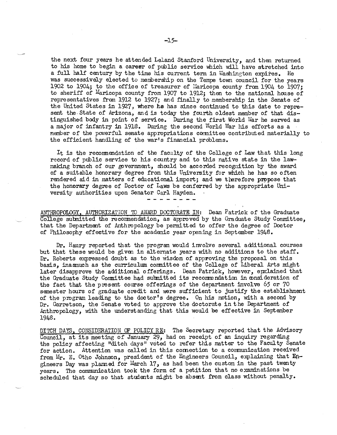the next four years he attended Leland Stanford University, and then returned to his home to begin a career of public service which will have stretched into a full half century by the time his current term in Washington expires. He was successively elected to membership on the Tempe town council for the years 1902 to 1904; to the office of treasurer of Maricopa county from 1904 to 1907; to sheriff of Maricopa county from 1907 to 1912; then to the national house of representatives from 1912 to 1927; and finally to membership in the Senate of the United States in 1927, where he has since continued to this date to repre-<br>sent the State of Arizona, and is today the fourth oldest member of that distinguished body in point of service. During the first World War he served as a major of infantry in 1918. During the second World War his efforts as a member of the powerful senate appropriations committee contributed mate the efficient handling of the war's financial problems.

It is the recommendation of the faculty of the College of Law that this long record of public service to his country and to this native state in the lawmaking branch of our government, should be accorded recognition by the award of a suitable honorary degree from this University for which he has so often rendered aid in matters of educational import; and we therefore propose that the honorary degree of Doctor of Laws be conferred by the appropriate Uni-<br>versity authorities upon Senator Carl Hayden.

ANTHROPOLOGY, AUTHORIZATION TO AWARD DOCTORATE IN: Dean Patrick of the Graduate College submitted the recommendation, as approved by the Graduate Study Committee, that the Department of Anthropology be permitted to offer the degree of Doctor of Philosophy effective for the academic year opening in Sep

Dr. Haury reported that the program would involve several additional courses<br>but that these would be given in alternate years with no additions to the staff.<br>Dr. Roberts expressed doubt as to the wisdom of approving the pr the Graduate Study Committee had submitted its recommendation in consideration of the fact that the present course offerings of the department involve  $65$  or  $70$  semester hours of graduate credit and were sufficient to justify the establishment of the program leading to the doctor's degree. On his motion, with a second by Dr. Garretson, the Senate voted to approve the doctorate in the Department of Anthropology, with the understanding that this would be effective

DITCH DAYS, CONSIDERATION OF POLICY RE: The Secretary reported that the Advisory Council, at its meeting of January 29, had on receipt of an inquiry regarding the policy affecting "ditch days" voted to refer this matter to the Faculty Senate for action. Attention was called in this cornection to a communication received from Mr. E. Otho Johnson, president of the Engineers Council, explaining that En-<br>gineers Day was planned for March 17, as had been the custom in the past twenty years The communication took the form of a petition that no examinations be scheduled that day so that students might be absent from class without penalty.